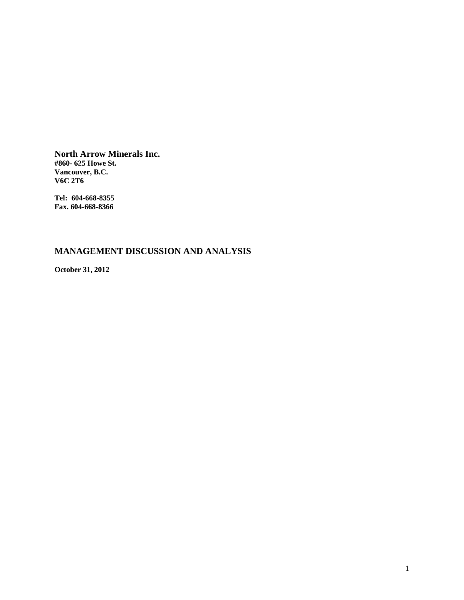**North Arrow Minerals Inc. #860- 625 Howe St. Vancouver, B.C. V6C 2T6** 

**Tel: 604-668-8355 Fax. 604-668-8366** 

# **MANAGEMENT DISCUSSION AND ANALYSIS**

**October 31, 2012**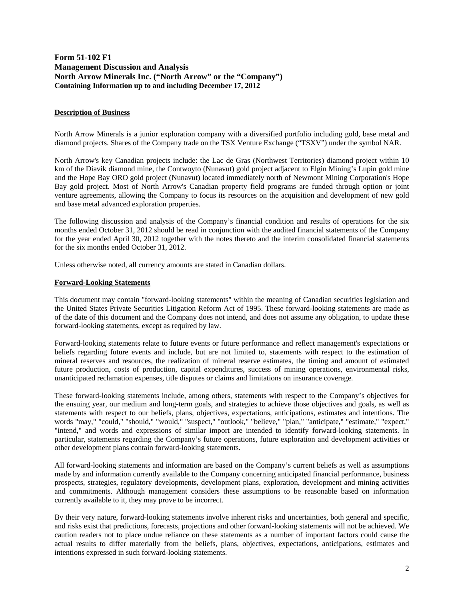# **Form 51-102 F1 Management Discussion and Analysis North Arrow Minerals Inc. ("North Arrow" or the "Company") Containing Information up to and including December 17, 2012**

### **Description of Business**

North Arrow Minerals is a junior exploration company with a diversified portfolio including gold, base metal and diamond projects. Shares of the Company trade on the TSX Venture Exchange ("TSXV") under the symbol NAR.

North Arrow's key Canadian projects include: the Lac de Gras (Northwest Territories) diamond project within 10 km of the Diavik diamond mine, the Contwoyto (Nunavut) gold project adjacent to Elgin Mining's Lupin gold mine and the Hope Bay ORO gold project (Nunavut) located immediately north of Newmont Mining Corporation's Hope Bay gold project. Most of North Arrow's Canadian property field programs are funded through option or joint venture agreements, allowing the Company to focus its resources on the acquisition and development of new gold and base metal advanced exploration properties.

The following discussion and analysis of the Company's financial condition and results of operations for the six months ended October 31, 2012 should be read in conjunction with the audited financial statements of the Company for the year ended April 30, 2012 together with the notes thereto and the interim consolidated financial statements for the six months ended October 31, 2012.

Unless otherwise noted, all currency amounts are stated in Canadian dollars.

#### **Forward-Looking Statements**

This document may contain "forward-looking statements" within the meaning of Canadian securities legislation and the United States Private Securities Litigation Reform Act of 1995. These forward-looking statements are made as of the date of this document and the Company does not intend, and does not assume any obligation, to update these forward-looking statements, except as required by law.

Forward-looking statements relate to future events or future performance and reflect management's expectations or beliefs regarding future events and include, but are not limited to, statements with respect to the estimation of mineral reserves and resources, the realization of mineral reserve estimates, the timing and amount of estimated future production, costs of production, capital expenditures, success of mining operations, environmental risks, unanticipated reclamation expenses, title disputes or claims and limitations on insurance coverage.

These forward-looking statements include, among others, statements with respect to the Company's objectives for the ensuing year, our medium and long-term goals, and strategies to achieve those objectives and goals, as well as statements with respect to our beliefs, plans, objectives, expectations, anticipations, estimates and intentions. The words "may," "could," "should," "would," "suspect," "outlook," "believe," "plan," "anticipate," "estimate," "expect," "intend," and words and expressions of similar import are intended to identify forward-looking statements. In particular, statements regarding the Company's future operations, future exploration and development activities or other development plans contain forward-looking statements.

All forward-looking statements and information are based on the Company's current beliefs as well as assumptions made by and information currently available to the Company concerning anticipated financial performance, business prospects, strategies, regulatory developments, development plans, exploration, development and mining activities and commitments. Although management considers these assumptions to be reasonable based on information currently available to it, they may prove to be incorrect.

By their very nature, forward-looking statements involve inherent risks and uncertainties, both general and specific, and risks exist that predictions, forecasts, projections and other forward-looking statements will not be achieved. We caution readers not to place undue reliance on these statements as a number of important factors could cause the actual results to differ materially from the beliefs, plans, objectives, expectations, anticipations, estimates and intentions expressed in such forward-looking statements.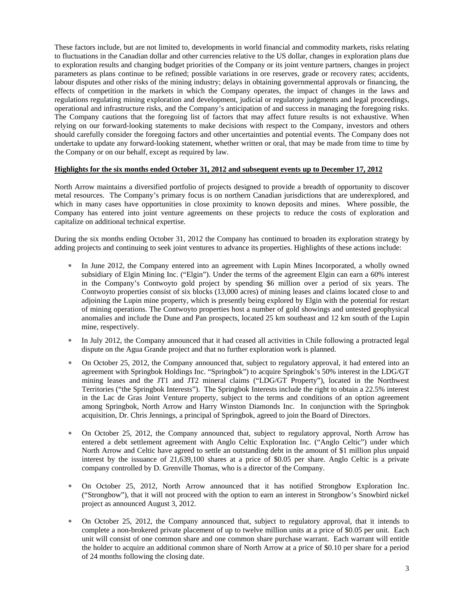These factors include, but are not limited to, developments in world financial and commodity markets, risks relating to fluctuations in the Canadian dollar and other currencies relative to the US dollar, changes in exploration plans due to exploration results and changing budget priorities of the Company or its joint venture partners, changes in project parameters as plans continue to be refined; possible variations in ore reserves, grade or recovery rates; accidents, labour disputes and other risks of the mining industry; delays in obtaining governmental approvals or financing, the effects of competition in the markets in which the Company operates, the impact of changes in the laws and regulations regulating mining exploration and development, judicial or regulatory judgments and legal proceedings, operational and infrastructure risks, and the Company's anticipation of and success in managing the foregoing risks. The Company cautions that the foregoing list of factors that may affect future results is not exhaustive. When relying on our forward-looking statements to make decisions with respect to the Company, investors and others should carefully consider the foregoing factors and other uncertainties and potential events. The Company does not undertake to update any forward-looking statement, whether written or oral, that may be made from time to time by the Company or on our behalf, except as required by law.

#### **Highlights for the six months ended October 31, 2012 and subsequent events up to December 17, 2012**

North Arrow maintains a diversified portfolio of projects designed to provide a breadth of opportunity to discover metal resources. The Company's primary focus is on northern Canadian jurisdictions that are underexplored, and which in many cases have opportunities in close proximity to known deposits and mines. Where possible, the Company has entered into joint venture agreements on these projects to reduce the costs of exploration and capitalize on additional technical expertise.

During the six months ending October 31, 2012 the Company has continued to broaden its exploration strategy by adding projects and continuing to seek joint ventures to advance its properties. Highlights of these actions include:

- In June 2012, the Company entered into an agreement with Lupin Mines Incorporated, a wholly owned subsidiary of Elgin Mining Inc. ("Elgin"). Under the terms of the agreement Elgin can earn a 60% interest in the Company's Contwoyto gold project by spending \$6 million over a period of six years. The Contwoyto properties consist of six blocks (13,000 acres) of mining leases and claims located close to and adjoining the Lupin mine property, which is presently being explored by Elgin with the potential for restart of mining operations. The Contwoyto properties host a number of gold showings and untested geophysical anomalies and include the Dune and Pan prospects, located 25 km southeast and 12 km south of the Lupin mine, respectively.
- \* In July 2012, the Company announced that it had ceased all activities in Chile following a protracted legal dispute on the Agua Grande project and that no further exploration work is planned.
- On October 25, 2012, the Company announced that, subject to regulatory approval, it had entered into an agreement with Springbok Holdings Inc. "Springbok") to acquire Springbok's 50% interest in the LDG/GT mining leases and the JT1 and JT2 mineral claims ("LDG/GT Property"), located in the Northwest Territories ("the Springbok Interests"). The Springbok Interests include the right to obtain a 22.5% interest in the Lac de Gras Joint Venture property, subject to the terms and conditions of an option agreement among Springbok, North Arrow and Harry Winston Diamonds Inc. In conjunction with the Springbok acquisition, Dr. Chris Jennings, a principal of Springbok, agreed to join the Board of Directors.
- On October 25, 2012, the Company announced that, subject to regulatory approval, North Arrow has entered a debt settlement agreement with Anglo Celtic Exploration Inc. ("Anglo Celtic") under which North Arrow and Celtic have agreed to settle an outstanding debt in the amount of \$1 million plus unpaid interest by the issuance of 21,639,100 shares at a price of \$0.05 per share. Anglo Celtic is a private company controlled by D. Grenville Thomas, who is a director of the Company.
- On October 25, 2012, North Arrow announced that it has notified Strongbow Exploration Inc. ("Strongbow"), that it will not proceed with the option to earn an interest in Strongbow's Snowbird nickel project as announced August 3, 2012.
- On October 25, 2012, the Company announced that, subject to regulatory approval, that it intends to complete a non-brokered private placement of up to twelve million units at a price of \$0.05 per unit. Each unit will consist of one common share and one common share purchase warrant. Each warrant will entitle the holder to acquire an additional common share of North Arrow at a price of \$0.10 per share for a period of 24 months following the closing date.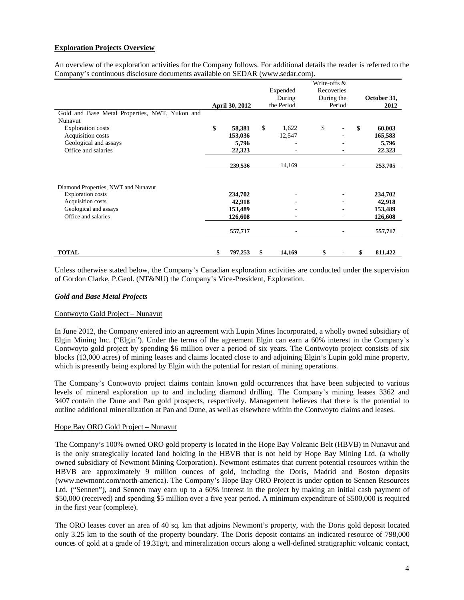# **Exploration Projects Overview**

An overview of the exploration activities for the Company follows. For additional details the reader is referred to the Company's continuous disclosure documents available on SEDAR (www.sedar.com).

|                                                |                       |              | Write-offs & |            |    |             |
|------------------------------------------------|-----------------------|--------------|--------------|------------|----|-------------|
|                                                |                       | Expended     | Recoveries   |            |    |             |
|                                                |                       | During       |              | During the |    | October 31, |
|                                                | <b>April 30, 2012</b> | the Period   |              | Period     |    | 2012        |
| Gold and Base Metal Properties, NWT, Yukon and |                       |              |              |            |    |             |
| Nunavut                                        |                       |              |              |            |    |             |
| <b>Exploration costs</b>                       | \$<br>58,381          | \$<br>1,622  | \$           |            | \$ | 60,003      |
| Acquisition costs                              | 153,036               | 12,547       |              |            |    | 165,583     |
| Geological and assays                          | 5,796                 |              |              |            |    | 5,796       |
| Office and salaries                            | 22,323                |              |              |            |    | 22,323      |
|                                                | 239,536               | 14,169       |              |            |    | 253,705     |
|                                                |                       |              |              |            |    |             |
| Diamond Properties, NWT and Nunavut            |                       |              |              |            |    |             |
| <b>Exploration</b> costs                       | 234,702               |              |              |            |    | 234,702     |
| Acquisition costs                              | 42,918                |              |              |            |    | 42,918      |
| Geological and assays                          | 153,489               |              |              |            |    | 153,489     |
| Office and salaries                            | 126,608               |              |              |            |    | 126,608     |
|                                                | 557,717               |              |              |            |    | 557,717     |
|                                                |                       |              |              |            |    |             |
| <b>TOTAL</b>                                   | \$<br>797,253         | \$<br>14,169 | \$           |            | S  | 811,422     |

Unless otherwise stated below, the Company's Canadian exploration activities are conducted under the supervision of Gordon Clarke, P.Geol. (NT&NU) the Company's Vice-President, Exploration.

#### *Gold and Base Metal Projects*

# Contwoyto Gold Project – Nunavut

In June 2012, the Company entered into an agreement with Lupin Mines Incorporated, a wholly owned subsidiary of Elgin Mining Inc. ("Elgin"). Under the terms of the agreement Elgin can earn a 60% interest in the Company's Contwoyto gold project by spending \$6 million over a period of six years. The Contwoyto project consists of six blocks (13,000 acres) of mining leases and claims located close to and adjoining Elgin's Lupin gold mine property, which is presently being explored by Elgin with the potential for restart of mining operations.

The Company's Contwoyto project claims contain known gold occurrences that have been subjected to various levels of mineral exploration up to and including diamond drilling. The Company's mining leases 3362 and 3407 contain the Dune and Pan gold prospects, respectively. Management believes that there is the potential to outline additional mineralization at Pan and Dune, as well as elsewhere within the Contwoyto claims and leases.

#### Hope Bay ORO Gold Project – Nunavut

The Company's 100% owned ORO gold property is located in the Hope Bay Volcanic Belt (HBVB) in Nunavut and is the only strategically located land holding in the HBVB that is not held by Hope Bay Mining Ltd. (a wholly owned subsidiary of Newmont Mining Corporation). Newmont estimates that current potential resources within the HBVB are approximately 9 million ounces of gold, including the Doris, Madrid and Boston deposits (www.newmont.com/north-america). The Company's Hope Bay ORO Project is under option to Sennen Resources Ltd. ("Sennen"), and Sennen may earn up to a 60% interest in the project by making an initial cash payment of \$50,000 (received) and spending \$5 million over a five year period. A minimum expenditure of \$500,000 is required in the first year (complete).

The ORO leases cover an area of 40 sq. km that adjoins Newmont's property, with the Doris gold deposit located only 3.25 km to the south of the property boundary. The Doris deposit contains an indicated resource of 798,000 ounces of gold at a grade of  $19.31g/t$ , and mineralization occurs along a well-defined stratigraphic volcanic contact,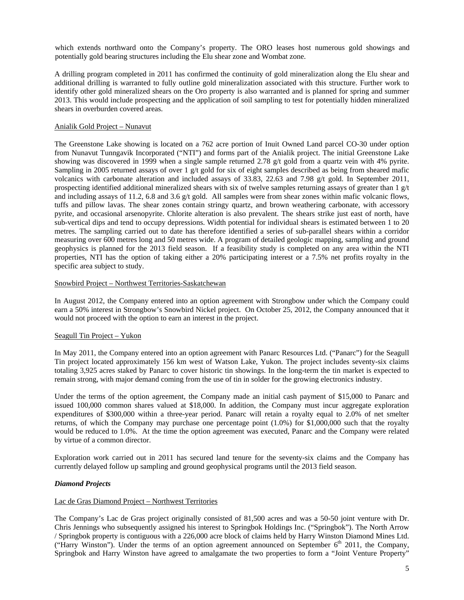which extends northward onto the Company's property. The ORO leases host numerous gold showings and potentially gold bearing structures including the Elu shear zone and Wombat zone.

A drilling program completed in 2011 has confirmed the continuity of gold mineralization along the Elu shear and additional drilling is warranted to fully outline gold mineralization associated with this structure. Further work to identify other gold mineralized shears on the Oro property is also warranted and is planned for spring and summer 2013. This would include prospecting and the application of soil sampling to test for potentially hidden mineralized shears in overburden covered areas.

#### Anialik Gold Project – Nunavut

The Greenstone Lake showing is located on a 762 acre portion of Inuit Owned Land parcel CO-30 under option from Nunavut Tunngavik Incorporated ("NTI") and forms part of the Anialik project. The initial Greenstone Lake showing was discovered in 1999 when a single sample returned 2.78 g/t gold from a quartz vein with 4% pyrite. Sampling in 2005 returned assays of over 1  $g/t$  gold for six of eight samples described as being from sheared mafic volcanics with carbonate alteration and included assays of 33.83, 22.63 and 7.98 g/t gold. In September 2011, prospecting identified additional mineralized shears with six of twelve samples returning assays of greater than 1 g/t and including assays of 11.2, 6.8 and 3.6 g/t gold. All samples were from shear zones within mafic volcanic flows, tuffs and pillow lavas. The shear zones contain stringy quartz, and brown weathering carbonate, with accessory pyrite, and occasional arsenopyrite. Chlorite alteration is also prevalent. The shears strike just east of north, have sub-vertical dips and tend to occupy depressions. Width potential for individual shears is estimated between 1 to 20 metres. The sampling carried out to date has therefore identified a series of sub-parallel shears within a corridor measuring over 600 metres long and 50 metres wide. A program of detailed geologic mapping, sampling and ground geophysics is planned for the 2013 field season. If a feasibility study is completed on any area within the NTI properties, NTI has the option of taking either a 20% participating interest or a 7.5% net profits royalty in the specific area subject to study.

#### Snowbird Project – Northwest Territories-Saskatchewan

In August 2012, the Company entered into an option agreement with Strongbow under which the Company could earn a 50% interest in Strongbow's Snowbird Nickel project. On October 25, 2012, the Company announced that it would not proceed with the option to earn an interest in the project.

# Seagull Tin Project – Yukon

In May 2011, the Company entered into an option agreement with Panarc Resources Ltd. ("Panarc") for the Seagull Tin project located approximately 156 km west of Watson Lake, Yukon. The project includes seventy-six claims totaling 3,925 acres staked by Panarc to cover historic tin showings. In the long-term the tin market is expected to remain strong, with major demand coming from the use of tin in solder for the growing electronics industry.

Under the terms of the option agreement, the Company made an initial cash payment of \$15,000 to Panarc and issued 100,000 common shares valued at \$18,000. In addition, the Company must incur aggregate exploration expenditures of \$300,000 within a three-year period. Panarc will retain a royalty equal to 2.0% of net smelter returns, of which the Company may purchase one percentage point (1.0%) for \$1,000,000 such that the royalty would be reduced to 1.0%. At the time the option agreement was executed, Panarc and the Company were related by virtue of a common director.

Exploration work carried out in 2011 has secured land tenure for the seventy-six claims and the Company has currently delayed follow up sampling and ground geophysical programs until the 2013 field season.

#### *Diamond Projects*

# Lac de Gras Diamond Project – Northwest Territories

The Company's Lac de Gras project originally consisted of 81,500 acres and was a 50-50 joint venture with Dr. Chris Jennings who subsequently assigned his interest to Springbok Holdings Inc. ("Springbok"). The North Arrow / Springbok property is contiguous with a 226,000 acre block of claims held by Harry Winston Diamond Mines Ltd. ("Harry Winston"). Under the terms of an option agreement announced on September  $6<sup>th</sup>$  2011, the Company, Springbok and Harry Winston have agreed to amalgamate the two properties to form a "Joint Venture Property"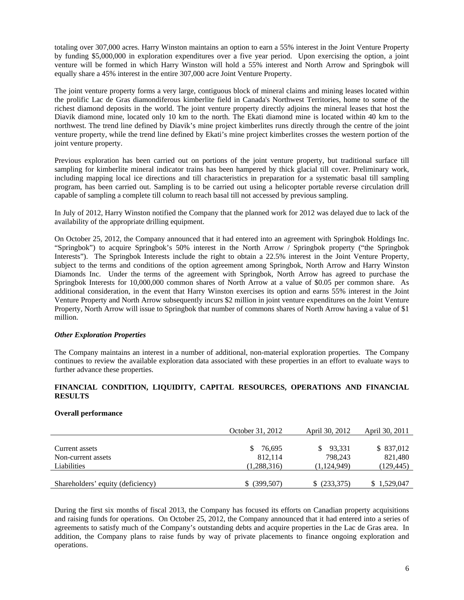totaling over 307,000 acres. Harry Winston maintains an option to earn a 55% interest in the Joint Venture Property by funding \$5,000,000 in exploration expenditures over a five year period. Upon exercising the option, a joint venture will be formed in which Harry Winston will hold a 55% interest and North Arrow and Springbok will equally share a 45% interest in the entire 307,000 acre Joint Venture Property.

The joint venture property forms a very large, contiguous block of mineral claims and mining leases located within the prolific Lac de Gras diamondiferous kimberlite field in Canada's Northwest Territories, home to some of the richest diamond deposits in the world. The joint venture property directly adjoins the mineral leases that host the Diavik diamond mine, located only 10 km to the north. The Ekati diamond mine is located within 40 km to the northwest. The trend line defined by Diavik's mine project kimberlites runs directly through the centre of the joint venture property, while the trend line defined by Ekati's mine project kimberlites crosses the western portion of the joint venture property.

Previous exploration has been carried out on portions of the joint venture property, but traditional surface till sampling for kimberlite mineral indicator trains has been hampered by thick glacial till cover. Preliminary work, including mapping local ice directions and till characteristics in preparation for a systematic basal till sampling program, has been carried out. Sampling is to be carried out using a helicopter portable reverse circulation drill capable of sampling a complete till column to reach basal till not accessed by previous sampling.

In July of 2012, Harry Winston notified the Company that the planned work for 2012 was delayed due to lack of the availability of the appropriate drilling equipment.

On October 25, 2012, the Company announced that it had entered into an agreement with Springbok Holdings Inc. "Springbok") to acquire Springbok's 50% interest in the North Arrow / Springbok property ("the Springbok Interests"). The Springbok Interests include the right to obtain a 22.5% interest in the Joint Venture Property, subject to the terms and conditions of the option agreement among Springbok, North Arrow and Harry Winston Diamonds Inc. Under the terms of the agreement with Springbok, North Arrow has agreed to purchase the Springbok Interests for 10,000,000 common shares of North Arrow at a value of \$0.05 per common share. As additional consideration, in the event that Harry Winston exercises its option and earns 55% interest in the Joint Venture Property and North Arrow subsequently incurs \$2 million in joint venture expenditures on the Joint Venture Property, North Arrow will issue to Springbok that number of commons shares of North Arrow having a value of \$1 million.

# *Other Exploration Properties*

The Company maintains an interest in a number of additional, non-material exploration properties. The Company continues to review the available exploration data associated with these properties in an effort to evaluate ways to further advance these properties.

# **FINANCIAL CONDITION, LIQUIDITY, CAPITAL RESOURCES, OPERATIONS AND FINANCIAL RESULTS**

#### **Overall performance**

|                                   | October 31, 2012 | April 30, 2012 | April 30, 2011 |
|-----------------------------------|------------------|----------------|----------------|
|                                   |                  |                |                |
| Current assets                    | 76.695<br>S.     | 93.331<br>S    | \$ 837,012     |
| Non-current assets                | 812.114          | 798.243        | 821,480        |
| Liabilities                       | (1,288,316)      | (1,124,949)    | (129, 445)     |
|                                   |                  |                |                |
| Shareholders' equity (deficiency) | $$$ (399,507)    | \$ (233,375)   | 1,529,047      |

During the first six months of fiscal 2013, the Company has focused its efforts on Canadian property acquisitions and raising funds for operations. On October 25, 2012, the Company announced that it had entered into a series of agreements to satisfy much of the Company's outstanding debts and acquire properties in the Lac de Gras area. In addition, the Company plans to raise funds by way of private placements to finance ongoing exploration and operations.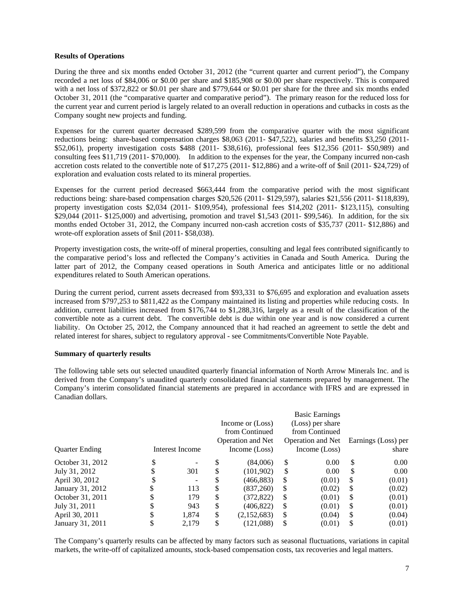#### **Results of Operations**

During the three and six months ended October 31, 2012 (the "current quarter and current period"), the Company recorded a net loss of \$84,006 or \$0.00 per share and \$185,908 or \$0.00 per share respectively. This is compared with a net loss of \$372,822 or \$0.01 per share and \$779,644 or \$0.01 per share for the three and six months ended October 31, 2011 (the "comparative quarter and comparative period"). The primary reason for the reduced loss for the current year and current period is largely related to an overall reduction in operations and cutbacks in costs as the Company sought new projects and funding.

Expenses for the current quarter decreased \$289,599 from the comparative quarter with the most significant reductions being: share-based compensation charges \$8,063 (2011- \$47,522), salaries and benefits \$3,250 (2011- \$52,061), property investigation costs \$488 (2011- \$38,616), professional fees \$12,356 (2011- \$50,989) and consulting fees \$11,719 (2011- \$70,000). In addition to the expenses for the year, the Company incurred non-cash accretion costs related to the convertible note of \$17,275 (2011- \$12,886) and a write-off of \$nil (2011- \$24,729) of exploration and evaluation costs related to its mineral properties.

Expenses for the current period decreased \$663,444 from the comparative period with the most significant reductions being: share-based compensation charges \$20,526 (2011- \$129,597), salaries \$21,556 (2011- \$118,839), property investigation costs \$2,034 (2011- \$109,954), professional fees \$14,202 (2011- \$123,115), consulting \$29,044 (2011- \$125,000) and advertising, promotion and travel \$1,543 (2011- \$99,546). In addition, for the six months ended October 31, 2012, the Company incurred non-cash accretion costs of \$35,737 (2011- \$12,886) and wrote-off exploration assets of \$nil (2011- \$58,038).

Property investigation costs, the write-off of mineral properties, consulting and legal fees contributed significantly to the comparative period's loss and reflected the Company's activities in Canada and South America. During the latter part of 2012, the Company ceased operations in South America and anticipates little or no additional expenditures related to South American operations.

During the current period, current assets decreased from \$93,331 to \$76,695 and exploration and evaluation assets increased from \$797,253 to \$811,422 as the Company maintained its listing and properties while reducing costs. In addition, current liabilities increased from \$176,744 to \$1,288,316, largely as a result of the classification of the convertible note as a current debt. The convertible debt is due within one year and is now considered a current liability. On October 25, 2012, the Company announced that it had reached an agreement to settle the debt and related interest for shares, subject to regulatory approval - see Commitments/Convertible Note Payable.

#### **Summary of quarterly results**

The following table sets out selected unaudited quarterly financial information of North Arrow Minerals Inc. and is derived from the Company's unaudited quarterly consolidated financial statements prepared by management. The Company's interim consolidated financial statements are prepared in accordance with IFRS and are expressed in Canadian dollars.

|                       |   |                 |    |                          |    | <b>Basic Earnings</b> |    |                     |
|-----------------------|---|-----------------|----|--------------------------|----|-----------------------|----|---------------------|
|                       |   |                 |    | Income or (Loss)         |    | (Loss) per share      |    |                     |
|                       |   |                 |    | from Continued           |    | from Continued        |    |                     |
|                       |   |                 |    | <b>Operation and Net</b> |    | Operation and Net     |    | Earnings (Loss) per |
| <b>Ouarter Ending</b> |   | Interest Income |    | Income (Loss)            |    | Income (Loss)         |    | share               |
| October 31, 2012      | ◡ |                 | S  | (84,006)                 | \$ | 0.00                  | \$ | $0.00\,$            |
| July 31, 2012         |   | 301             | \$ | (101, 902)               | \$ | 0.00                  | S  | 0.00                |
| April 30, 2012        |   | -               | S  | (466, 883)               | S  | (0.01)                | S  | (0.01)              |
| January 31, 2012      | S | 113             | \$ | (837,260)                | S  | (0.02)                | S  | (0.02)              |
| October 31, 2011      |   | 179             | \$ | (372, 822)               | S  | (0.01)                | S  | (0.01)              |
| July 31, 2011         |   | 943             | \$ | (406, 822)               | \$ | (0.01)                | S  | (0.01)              |
| April 30, 2011        |   | 1,874           | \$ | (2,152,683)              | \$ | (0.04)                | S  | (0.04)              |
| January 31, 2011      |   | 2,179           | \$ | (121,088)                | S  | (0.01)                | S  | (0.01)              |

The Company's quarterly results can be affected by many factors such as seasonal fluctuations, variations in capital markets, the write-off of capitalized amounts, stock-based compensation costs, tax recoveries and legal matters.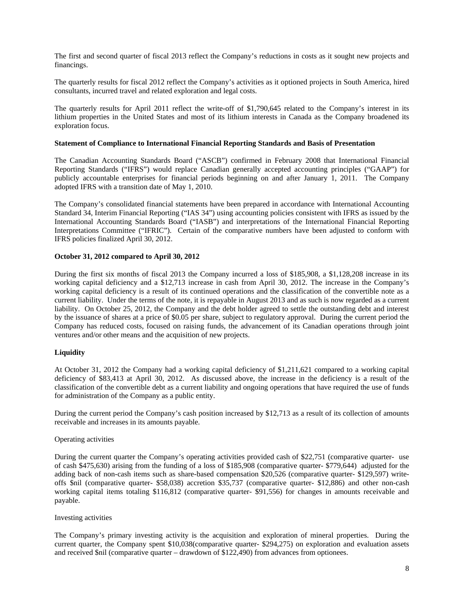The first and second quarter of fiscal 2013 reflect the Company's reductions in costs as it sought new projects and financings.

The quarterly results for fiscal 2012 reflect the Company's activities as it optioned projects in South America, hired consultants, incurred travel and related exploration and legal costs.

The quarterly results for April 2011 reflect the write-off of \$1,790,645 related to the Company's interest in its lithium properties in the United States and most of its lithium interests in Canada as the Company broadened its exploration focus.

#### **Statement of Compliance to International Financial Reporting Standards and Basis of Presentation**

The Canadian Accounting Standards Board ("ASCB") confirmed in February 2008 that International Financial Reporting Standards ("IFRS") would replace Canadian generally accepted accounting principles ("GAAP") for publicly accountable enterprises for financial periods beginning on and after January 1, 2011. The Company adopted IFRS with a transition date of May 1, 2010.

The Company's consolidated financial statements have been prepared in accordance with International Accounting Standard 34, Interim Financial Reporting ("IAS 34") using accounting policies consistent with IFRS as issued by the International Accounting Standards Board ("IASB") and interpretations of the International Financial Reporting Interpretations Committee ("IFRIC"). Certain of the comparative numbers have been adjusted to conform with IFRS policies finalized April 30, 2012.

#### **October 31, 2012 compared to April 30, 2012**

During the first six months of fiscal 2013 the Company incurred a loss of \$185,908, a \$1,128,208 increase in its working capital deficiency and a \$12,713 increase in cash from April 30, 2012. The increase in the Company's working capital deficiency is a result of its continued operations and the classification of the convertible note as a current liability. Under the terms of the note, it is repayable in August 2013 and as such is now regarded as a current liability. On October 25, 2012, the Company and the debt holder agreed to settle the outstanding debt and interest by the issuance of shares at a price of \$0.05 per share, subject to regulatory approval. During the current period the Company has reduced costs, focused on raising funds, the advancement of its Canadian operations through joint ventures and/or other means and the acquisition of new projects.

#### **Liquidity**

At October 31, 2012 the Company had a working capital deficiency of \$1,211,621 compared to a working capital deficiency of \$83,413 at April 30, 2012. As discussed above, the increase in the deficiency is a result of the classification of the convertible debt as a current liability and ongoing operations that have required the use of funds for administration of the Company as a public entity.

During the current period the Company's cash position increased by \$12,713 as a result of its collection of amounts receivable and increases in its amounts payable.

#### Operating activities

During the current quarter the Company's operating activities provided cash of \$22,751 (comparative quarter- use of cash \$475,630) arising from the funding of a loss of \$185,908 (comparative quarter- \$779,644) adjusted for the adding back of non-cash items such as share-based compensation \$20,526 (comparative quarter- \$129,597) writeoffs \$nil (comparative quarter- \$58,038) accretion \$35,737 (comparative quarter- \$12,886) and other non-cash working capital items totaling \$116,812 (comparative quarter- \$91,556) for changes in amounts receivable and payable.

#### Investing activities

The Company's primary investing activity is the acquisition and exploration of mineral properties. During the current quarter, the Company spent \$10,038(comparative quarter- \$294,275) on exploration and evaluation assets and received \$nil (comparative quarter – drawdown of \$122,490) from advances from optionees.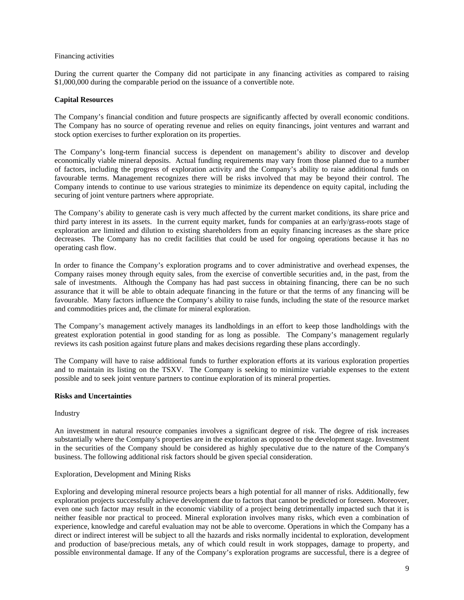#### Financing activities

During the current quarter the Company did not participate in any financing activities as compared to raising \$1,000,000 during the comparable period on the issuance of a convertible note.

### **Capital Resources**

The Company's financial condition and future prospects are significantly affected by overall economic conditions. The Company has no source of operating revenue and relies on equity financings, joint ventures and warrant and stock option exercises to further exploration on its properties.

The Company's long-term financial success is dependent on management's ability to discover and develop economically viable mineral deposits. Actual funding requirements may vary from those planned due to a number of factors, including the progress of exploration activity and the Company's ability to raise additional funds on favourable terms. Management recognizes there will be risks involved that may be beyond their control. The Company intends to continue to use various strategies to minimize its dependence on equity capital, including the securing of joint venture partners where appropriate.

The Company's ability to generate cash is very much affected by the current market conditions, its share price and third party interest in its assets. In the current equity market, funds for companies at an early/grass-roots stage of exploration are limited and dilution to existing shareholders from an equity financing increases as the share price decreases. The Company has no credit facilities that could be used for ongoing operations because it has no operating cash flow.

In order to finance the Company's exploration programs and to cover administrative and overhead expenses, the Company raises money through equity sales, from the exercise of convertible securities and, in the past, from the sale of investments. Although the Company has had past success in obtaining financing, there can be no such assurance that it will be able to obtain adequate financing in the future or that the terms of any financing will be favourable. Many factors influence the Company's ability to raise funds, including the state of the resource market and commodities prices and, the climate for mineral exploration.

The Company's management actively manages its landholdings in an effort to keep those landholdings with the greatest exploration potential in good standing for as long as possible. The Company's management regularly reviews its cash position against future plans and makes decisions regarding these plans accordingly.

The Company will have to raise additional funds to further exploration efforts at its various exploration properties and to maintain its listing on the TSXV. The Company is seeking to minimize variable expenses to the extent possible and to seek joint venture partners to continue exploration of its mineral properties.

# **Risks and Uncertainties**

#### Industry

An investment in natural resource companies involves a significant degree of risk. The degree of risk increases substantially where the Company's properties are in the exploration as opposed to the development stage. Investment in the securities of the Company should be considered as highly speculative due to the nature of the Company's business. The following additional risk factors should be given special consideration.

# Exploration, Development and Mining Risks

Exploring and developing mineral resource projects bears a high potential for all manner of risks. Additionally, few exploration projects successfully achieve development due to factors that cannot be predicted or foreseen. Moreover, even one such factor may result in the economic viability of a project being detrimentally impacted such that it is neither feasible nor practical to proceed. Mineral exploration involves many risks, which even a combination of experience, knowledge and careful evaluation may not be able to overcome. Operations in which the Company has a direct or indirect interest will be subject to all the hazards and risks normally incidental to exploration, development and production of base/precious metals, any of which could result in work stoppages, damage to property, and possible environmental damage. If any of the Company's exploration programs are successful, there is a degree of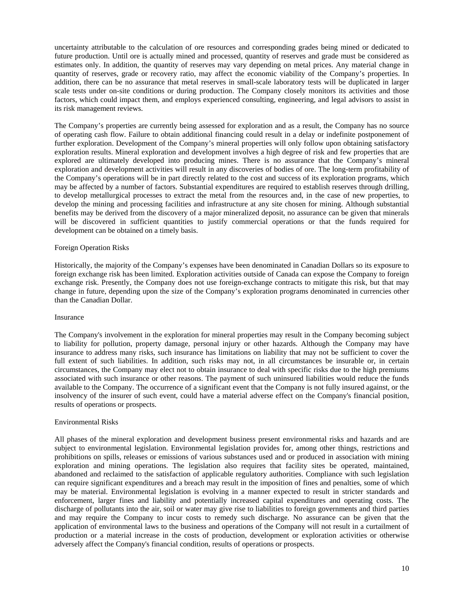uncertainty attributable to the calculation of ore resources and corresponding grades being mined or dedicated to future production. Until ore is actually mined and processed, quantity of reserves and grade must be considered as estimates only. In addition, the quantity of reserves may vary depending on metal prices. Any material change in quantity of reserves, grade or recovery ratio, may affect the economic viability of the Company's properties. In addition, there can be no assurance that metal reserves in small-scale laboratory tests will be duplicated in larger scale tests under on-site conditions or during production. The Company closely monitors its activities and those factors, which could impact them, and employs experienced consulting, engineering, and legal advisors to assist in its risk management reviews.

The Company's properties are currently being assessed for exploration and as a result, the Company has no source of operating cash flow. Failure to obtain additional financing could result in a delay or indefinite postponement of further exploration. Development of the Company's mineral properties will only follow upon obtaining satisfactory exploration results. Mineral exploration and development involves a high degree of risk and few properties that are explored are ultimately developed into producing mines. There is no assurance that the Company's mineral exploration and development activities will result in any discoveries of bodies of ore. The long-term profitability of the Company's operations will be in part directly related to the cost and success of its exploration programs, which may be affected by a number of factors. Substantial expenditures are required to establish reserves through drilling, to develop metallurgical processes to extract the metal from the resources and, in the case of new properties, to develop the mining and processing facilities and infrastructure at any site chosen for mining. Although substantial benefits may be derived from the discovery of a major mineralized deposit, no assurance can be given that minerals will be discovered in sufficient quantities to justify commercial operations or that the funds required for development can be obtained on a timely basis.

#### Foreign Operation Risks

Historically, the majority of the Company's expenses have been denominated in Canadian Dollars so its exposure to foreign exchange risk has been limited. Exploration activities outside of Canada can expose the Company to foreign exchange risk. Presently, the Company does not use foreign-exchange contracts to mitigate this risk, but that may change in future, depending upon the size of the Company's exploration programs denominated in currencies other than the Canadian Dollar.

#### Insurance

The Company's involvement in the exploration for mineral properties may result in the Company becoming subject to liability for pollution, property damage, personal injury or other hazards. Although the Company may have insurance to address many risks, such insurance has limitations on liability that may not be sufficient to cover the full extent of such liabilities. In addition, such risks may not, in all circumstances be insurable or, in certain circumstances, the Company may elect not to obtain insurance to deal with specific risks due to the high premiums associated with such insurance or other reasons. The payment of such uninsured liabilities would reduce the funds available to the Company. The occurrence of a significant event that the Company is not fully insured against, or the insolvency of the insurer of such event, could have a material adverse effect on the Company's financial position, results of operations or prospects.

#### Environmental Risks

All phases of the mineral exploration and development business present environmental risks and hazards and are subject to environmental legislation. Environmental legislation provides for, among other things, restrictions and prohibitions on spills, releases or emissions of various substances used and or produced in association with mining exploration and mining operations. The legislation also requires that facility sites be operated, maintained, abandoned and reclaimed to the satisfaction of applicable regulatory authorities. Compliance with such legislation can require significant expenditures and a breach may result in the imposition of fines and penalties, some of which may be material. Environmental legislation is evolving in a manner expected to result in stricter standards and enforcement, larger fines and liability and potentially increased capital expenditures and operating costs. The discharge of pollutants into the air, soil or water may give rise to liabilities to foreign governments and third parties and may require the Company to incur costs to remedy such discharge. No assurance can be given that the application of environmental laws to the business and operations of the Company will not result in a curtailment of production or a material increase in the costs of production, development or exploration activities or otherwise adversely affect the Company's financial condition, results of operations or prospects.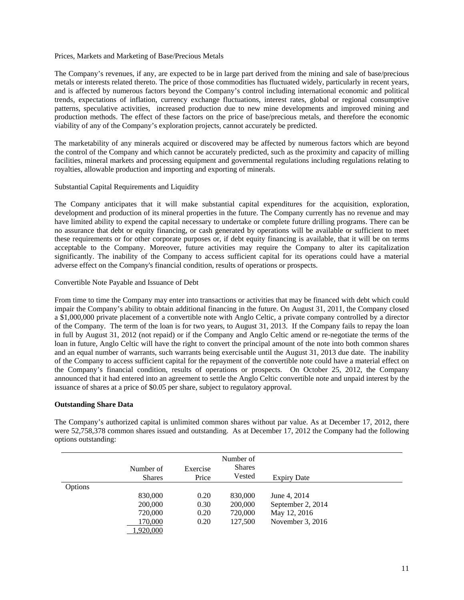#### Prices, Markets and Marketing of Base/Precious Metals

The Company's revenues, if any, are expected to be in large part derived from the mining and sale of base/precious metals or interests related thereto. The price of those commodities has fluctuated widely, particularly in recent years, and is affected by numerous factors beyond the Company's control including international economic and political trends, expectations of inflation, currency exchange fluctuations, interest rates, global or regional consumptive patterns, speculative activities, increased production due to new mine developments and improved mining and production methods. The effect of these factors on the price of base/precious metals, and therefore the economic viability of any of the Company's exploration projects, cannot accurately be predicted.

The marketability of any minerals acquired or discovered may be affected by numerous factors which are beyond the control of the Company and which cannot be accurately predicted, such as the proximity and capacity of milling facilities, mineral markets and processing equipment and governmental regulations including regulations relating to royalties, allowable production and importing and exporting of minerals.

#### Substantial Capital Requirements and Liquidity

The Company anticipates that it will make substantial capital expenditures for the acquisition, exploration, development and production of its mineral properties in the future. The Company currently has no revenue and may have limited ability to expend the capital necessary to undertake or complete future drilling programs. There can be no assurance that debt or equity financing, or cash generated by operations will be available or sufficient to meet these requirements or for other corporate purposes or, if debt equity financing is available, that it will be on terms acceptable to the Company. Moreover, future activities may require the Company to alter its capitalization significantly. The inability of the Company to access sufficient capital for its operations could have a material adverse effect on the Company's financial condition, results of operations or prospects.

#### Convertible Note Payable and Issuance of Debt

From time to time the Company may enter into transactions or activities that may be financed with debt which could impair the Company's ability to obtain additional financing in the future. On August 31, 2011, the Company closed a \$1,000,000 private placement of a convertible note with Anglo Celtic, a private company controlled by a director of the Company. The term of the loan is for two years, to August 31, 2013. If the Company fails to repay the loan in full by August 31, 2012 (not repaid) or if the Company and Anglo Celtic amend or re-negotiate the terms of the loan in future, Anglo Celtic will have the right to convert the principal amount of the note into both common shares and an equal number of warrants, such warrants being exercisable until the August 31, 2013 due date. The inability of the Company to access sufficient capital for the repayment of the convertible note could have a material effect on the Company's financial condition, results of operations or prospects. On October 25, 2012, the Company announced that it had entered into an agreement to settle the Anglo Celtic convertible note and unpaid interest by the issuance of shares at a price of \$0.05 per share, subject to regulatory approval.

#### **Outstanding Share Data**

The Company's authorized capital is unlimited common shares without par value. As at December 17, 2012, there were 52,758,378 common shares issued and outstanding. As at December 17, 2012 the Company had the following options outstanding:

|         | Number of<br><b>Shares</b> | Exercise<br>Price | Number of<br><b>Shares</b><br>Vested | <b>Expiry Date</b> |  |
|---------|----------------------------|-------------------|--------------------------------------|--------------------|--|
| Options |                            |                   |                                      |                    |  |
|         | 830,000                    | 0.20              | 830,000                              | June 4, 2014       |  |
|         | 200,000                    | 0.30              | 200,000                              | September 2, 2014  |  |
|         | 720,000                    | 0.20              | 720,000                              | May 12, 2016       |  |
|         | 170,000                    | 0.20              | 127.500                              | November 3, 2016   |  |
|         | 1,920,000                  |                   |                                      |                    |  |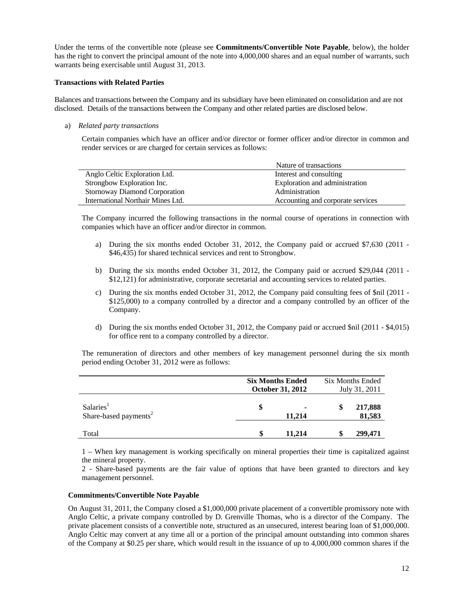Under the terms of the convertible note (please see **Commitments/Convertible Note Payable**, below), the holder has the right to convert the principal amount of the note into 4,000,000 shares and an equal number of warrants, such warrants being exercisable until August 31, 2013.

#### **Transactions with Related Parties**

Balances and transactions between the Company and its subsidiary have been eliminated on consolidation and are not disclosed. Details of the transactions between the Company and other related parties are disclosed below.

a) *Related party transactions* 

Certain companies which have an officer and/or director or former officer and/or director in common and render services or are charged for certain services as follows:

|                                      | Nature of transactions            |
|--------------------------------------|-----------------------------------|
| Anglo Celtic Exploration Ltd.        | Interest and consulting           |
| Strongbow Exploration Inc.           | Exploration and administration    |
| <b>Stornoway Diamond Corporation</b> | Administration                    |
| International Northair Mines Ltd.    | Accounting and corporate services |

The Company incurred the following transactions in the normal course of operations in connection with companies which have an officer and/or director in common.

- a) During the six months ended October 31, 2012, the Company paid or accrued \$7,630 (2011 \$46,435) for shared technical services and rent to Strongbow.
- b) During the six months ended October 31, 2012, the Company paid or accrued \$29,044 (2011 \$12,121) for administrative, corporate secretarial and accounting services to related parties.
- c) During the six months ended October 31, 2012, the Company paid consulting fees of \$nil (2011 \$125,000) to a company controlled by a director and a company controlled by an officer of the Company.
- d) During the six months ended October 31, 2012, the Company paid or accrued \$nil (2011 \$4,015) for office rent to a company controlled by a director.

 The remuneration of directors and other members of key management personnel during the six month period ending October 31, 2012 were as follows:

|                                                            | <b>Six Months Ended</b><br><b>October 31, 2012</b> |        | <b>Six Months Ended</b><br>July 31, 2011 |                   |  |
|------------------------------------------------------------|----------------------------------------------------|--------|------------------------------------------|-------------------|--|
| Salaries <sup>1</sup><br>Share-based payments <sup>2</sup> | \$                                                 | 11,214 | S                                        | 217,888<br>81,583 |  |
| Total                                                      |                                                    | 11.214 |                                          | 299,471           |  |

1 – When key management is working specifically on mineral properties their time is capitalized against the mineral property.

2 - Share-based payments are the fair value of options that have been granted to directors and key management personnel.

#### **Commitments/Convertible Note Payable**

On August 31, 2011, the Company closed a \$1,000,000 private placement of a convertible promissory note with Anglo Celtic, a private company controlled by D. Grenville Thomas, who is a director of the Company. The private placement consists of a convertible note, structured as an unsecured, interest bearing loan of \$1,000,000. Anglo Celtic may convert at any time all or a portion of the principal amount outstanding into common shares of the Company at \$0.25 per share, which would result in the issuance of up to 4,000,000 common shares if the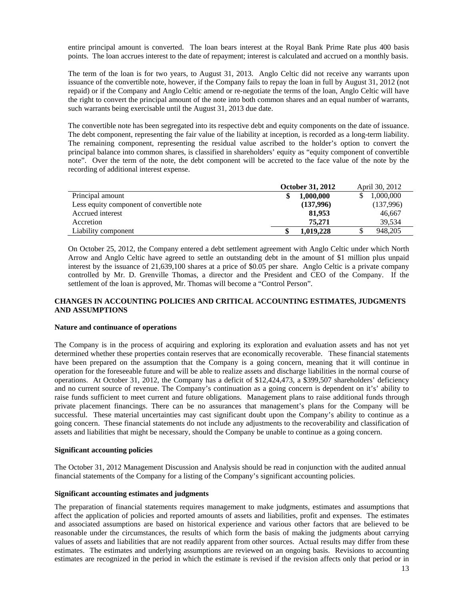entire principal amount is converted. The loan bears interest at the Royal Bank Prime Rate plus 400 basis points. The loan accrues interest to the date of repayment; interest is calculated and accrued on a monthly basis.

The term of the loan is for two years, to August 31, 2013. Anglo Celtic did not receive any warrants upon issuance of the convertible note, however, if the Company fails to repay the loan in full by August 31, 2012 (not repaid) or if the Company and Anglo Celtic amend or re-negotiate the terms of the loan, Anglo Celtic will have the right to convert the principal amount of the note into both common shares and an equal number of warrants, such warrants being exercisable until the August 31, 2013 due date.

The convertible note has been segregated into its respective debt and equity components on the date of issuance. The debt component, representing the fair value of the liability at inception, is recorded as a long-term liability. The remaining component, representing the residual value ascribed to the holder's option to convert the principal balance into common shares, is classified in shareholders' equity as "equity component of convertible note". Over the term of the note, the debt component will be accreted to the face value of the note by the recording of additional interest expense.

|                                           | <b>October 31, 2012</b> | April 30, 2012 |
|-------------------------------------------|-------------------------|----------------|
| Principal amount                          | 1.000.000               | 1,000,000      |
| Less equity component of convertible note | (137,996)               | (137,996)      |
| Accrued interest                          | 81,953                  | 46.667         |
| Accretion                                 | 75.271                  | 39.534         |
| Liability component                       | 1,019,228               | 948,205        |

On October 25, 2012, the Company entered a debt settlement agreement with Anglo Celtic under which North Arrow and Anglo Celtic have agreed to settle an outstanding debt in the amount of \$1 million plus unpaid interest by the issuance of 21,639,100 shares at a price of \$0.05 per share. Anglo Celtic is a private company controlled by Mr. D. Grenville Thomas, a director and the President and CEO of the Company. If the settlement of the loan is approved, Mr. Thomas will become a "Control Person".

# **CHANGES IN ACCOUNTING POLICIES AND CRITICAL ACCOUNTING ESTIMATES, JUDGMENTS AND ASSUMPTIONS**

#### **Nature and continuance of operations**

The Company is in the process of acquiring and exploring its exploration and evaluation assets and has not yet determined whether these properties contain reserves that are economically recoverable. These financial statements have been prepared on the assumption that the Company is a going concern, meaning that it will continue in operation for the foreseeable future and will be able to realize assets and discharge liabilities in the normal course of operations. At October 31, 2012, the Company has a deficit of \$12,424,473, a \$399,507 shareholders' deficiency and no current source of revenue. The Company's continuation as a going concern is dependent on it's' ability to raise funds sufficient to meet current and future obligations. Management plans to raise additional funds through private placement financings. There can be no assurances that management's plans for the Company will be successful. These material uncertainties may cast significant doubt upon the Company's ability to continue as a going concern. These financial statements do not include any adjustments to the recoverability and classification of assets and liabilities that might be necessary, should the Company be unable to continue as a going concern.

#### **Significant accounting policies**

The October 31, 2012 Management Discussion and Analysis should be read in conjunction with the audited annual financial statements of the Company for a listing of the Company's significant accounting policies.

#### **Significant accounting estimates and judgments**

The preparation of financial statements requires management to make judgments, estimates and assumptions that affect the application of policies and reported amounts of assets and liabilities, profit and expenses. The estimates and associated assumptions are based on historical experience and various other factors that are believed to be reasonable under the circumstances, the results of which form the basis of making the judgments about carrying values of assets and liabilities that are not readily apparent from other sources. Actual results may differ from these estimates. The estimates and underlying assumptions are reviewed on an ongoing basis. Revisions to accounting estimates are recognized in the period in which the estimate is revised if the revision affects only that period or in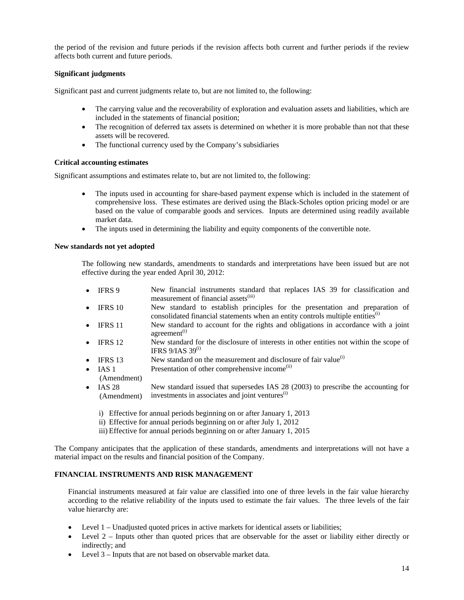the period of the revision and future periods if the revision affects both current and further periods if the review affects both current and future periods.

# **Significant judgments**

Significant past and current judgments relate to, but are not limited to, the following:

- The carrying value and the recoverability of exploration and evaluation assets and liabilities, which are included in the statements of financial position;
- The recognition of deferred tax assets is determined on whether it is more probable than not that these assets will be recovered.
- The functional currency used by the Company's subsidiaries

#### **Critical accounting estimates**

Significant assumptions and estimates relate to, but are not limited to, the following:

- The inputs used in accounting for share-based payment expense which is included in the statement of comprehensive loss. These estimates are derived using the Black-Scholes option pricing model or are based on the value of comparable goods and services. Inputs are determined using readily available market data.
- The inputs used in determining the liability and equity components of the convertible note.

### **New standards not yet adopted**

The following new standards, amendments to standards and interpretations have been issued but are not effective during the year ended April 30, 2012:

- IFRS 9 New financial instruments standard that replaces IAS 39 for classification and measurement of financial assets<sup>(iii)</sup>
- IFRS 10 New standard to establish principles for the presentation and preparation of consolidated financial statements when an entity controls multiple entities $^{(i)}$
- IFRS 11 New standard to account for the rights and obligations in accordance with a joint agreement<sup>(i)</sup>
- IFRS 12 New standard for the disclosure of interests in other entities not within the scope of IFRS  $9/IAS$  39<sup>(i)</sup>
- **IFRS 13** New standard on the measurement and disclosure of fair value<sup>(i)</sup>
- $\bullet$  IAS 1 Presentation of other comprehensive income<sup>(ii)</sup>
- (Amendment)
- $\bullet$  IAS 28 (Amendment) New standard issued that supersedes IAS 28 (2003) to prescribe the accounting for investments in associates and joint ventures $<sup>(i)</sup>$ </sup>
	- i) Effective for annual periods beginning on or after January 1, 2013
	- ii) Effective for annual periods beginning on or after July 1, 2012
	- iii) Effective for annual periods beginning on or after January 1, 2015

The Company anticipates that the application of these standards, amendments and interpretations will not have a material impact on the results and financial position of the Company.

# **FINANCIAL INSTRUMENTS AND RISK MANAGEMENT**

Financial instruments measured at fair value are classified into one of three levels in the fair value hierarchy according to the relative reliability of the inputs used to estimate the fair values. The three levels of the fair value hierarchy are:

- Level 1 Unadjusted quoted prices in active markets for identical assets or liabilities;
- Level 2 Inputs other than quoted prices that are observable for the asset or liability either directly or indirectly; and
- Level 3 Inputs that are not based on observable market data.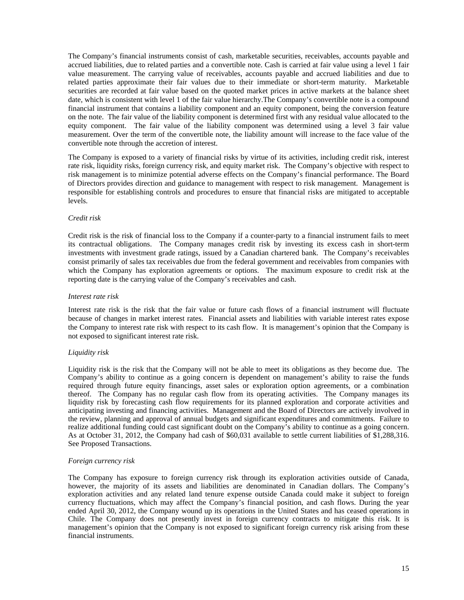The Company's financial instruments consist of cash, marketable securities, receivables, accounts payable and accrued liabilities, due to related parties and a convertible note. Cash is carried at fair value using a level 1 fair value measurement. The carrying value of receivables, accounts payable and accrued liabilities and due to related parties approximate their fair values due to their immediate or short-term maturity. Marketable securities are recorded at fair value based on the quoted market prices in active markets at the balance sheet date, which is consistent with level 1 of the fair value hierarchy.The Company's convertible note is a compound financial instrument that contains a liability component and an equity component, being the conversion feature on the note. The fair value of the liability component is determined first with any residual value allocated to the equity component. The fair value of the liability component was determined using a level 3 fair value measurement. Over the term of the convertible note, the liability amount will increase to the face value of the convertible note through the accretion of interest.

The Company is exposed to a variety of financial risks by virtue of its activities, including credit risk, interest rate risk, liquidity risks, foreign currency risk, and equity market risk. The Company's objective with respect to risk management is to minimize potential adverse effects on the Company's financial performance. The Board of Directors provides direction and guidance to management with respect to risk management. Management is responsible for establishing controls and procedures to ensure that financial risks are mitigated to acceptable levels.

#### *Credit risk*

Credit risk is the risk of financial loss to the Company if a counter-party to a financial instrument fails to meet its contractual obligations. The Company manages credit risk by investing its excess cash in short-term investments with investment grade ratings, issued by a Canadian chartered bank. The Company's receivables consist primarily of sales tax receivables due from the federal government and receivables from companies with which the Company has exploration agreements or options. The maximum exposure to credit risk at the reporting date is the carrying value of the Company's receivables and cash.

#### *Interest rate risk*

Interest rate risk is the risk that the fair value or future cash flows of a financial instrument will fluctuate because of changes in market interest rates. Financial assets and liabilities with variable interest rates expose the Company to interest rate risk with respect to its cash flow. It is management's opinion that the Company is not exposed to significant interest rate risk.

#### *Liquidity risk*

Liquidity risk is the risk that the Company will not be able to meet its obligations as they become due. The Company's ability to continue as a going concern is dependent on management's ability to raise the funds required through future equity financings, asset sales or exploration option agreements, or a combination thereof. The Company has no regular cash flow from its operating activities. The Company manages its liquidity risk by forecasting cash flow requirements for its planned exploration and corporate activities and anticipating investing and financing activities. Management and the Board of Directors are actively involved in the review, planning and approval of annual budgets and significant expenditures and commitments. Failure to realize additional funding could cast significant doubt on the Company's ability to continue as a going concern. As at October 31, 2012, the Company had cash of \$60,031 available to settle current liabilities of \$1,288,316. See Proposed Transactions.

#### *Foreign currency risk*

 The Company has exposure to foreign currency risk through its exploration activities outside of Canada, however, the majority of its assets and liabilities are denominated in Canadian dollars. The Company's exploration activities and any related land tenure expense outside Canada could make it subject to foreign currency fluctuations, which may affect the Company's financial position, and cash flows. During the year ended April 30, 2012, the Company wound up its operations in the United States and has ceased operations in Chile. The Company does not presently invest in foreign currency contracts to mitigate this risk. It is management's opinion that the Company is not exposed to significant foreign currency risk arising from these financial instruments.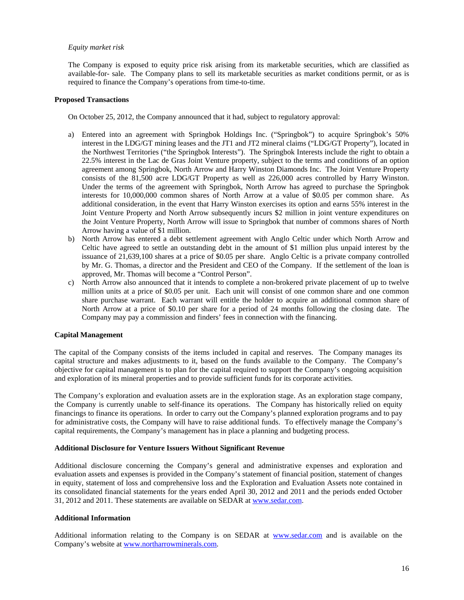#### *Equity market risk*

The Company is exposed to equity price risk arising from its marketable securities, which are classified as available-for- sale. The Company plans to sell its marketable securities as market conditions permit, or as is required to finance the Company's operations from time-to-time.

#### **Proposed Transactions**

On October 25, 2012, the Company announced that it had, subject to regulatory approval:

- a) Entered into an agreement with Springbok Holdings Inc. ("Springbok") to acquire Springbok's 50% interest in the LDG/GT mining leases and the JT1 and JT2 mineral claims ("LDG/GT Property"), located in the Northwest Territories ("the Springbok Interests"). The Springbok Interests include the right to obtain a 22.5% interest in the Lac de Gras Joint Venture property, subject to the terms and conditions of an option agreement among Springbok, North Arrow and Harry Winston Diamonds Inc. The Joint Venture Property consists of the 81,500 acre LDG/GT Property as well as 226,000 acres controlled by Harry Winston. Under the terms of the agreement with Springbok, North Arrow has agreed to purchase the Springbok interests for 10,000,000 common shares of North Arrow at a value of \$0.05 per common share. As additional consideration, in the event that Harry Winston exercises its option and earns 55% interest in the Joint Venture Property and North Arrow subsequently incurs \$2 million in joint venture expenditures on the Joint Venture Property, North Arrow will issue to Springbok that number of commons shares of North Arrow having a value of \$1 million.
- b) North Arrow has entered a debt settlement agreement with Anglo Celtic under which North Arrow and Celtic have agreed to settle an outstanding debt in the amount of \$1 million plus unpaid interest by the issuance of 21,639,100 shares at a price of \$0.05 per share. Anglo Celtic is a private company controlled by Mr. G. Thomas, a director and the President and CEO of the Company. If the settlement of the loan is approved, Mr. Thomas will become a "Control Person".
- c) North Arrow also announced that it intends to complete a non-brokered private placement of up to twelve million units at a price of \$0.05 per unit. Each unit will consist of one common share and one common share purchase warrant. Each warrant will entitle the holder to acquire an additional common share of North Arrow at a price of \$0.10 per share for a period of 24 months following the closing date. The Company may pay a commission and finders' fees in connection with the financing.

# **Capital Management**

The capital of the Company consists of the items included in capital and reserves. The Company manages its capital structure and makes adjustments to it, based on the funds available to the Company. The Company's objective for capital management is to plan for the capital required to support the Company's ongoing acquisition and exploration of its mineral properties and to provide sufficient funds for its corporate activities.

The Company's exploration and evaluation assets are in the exploration stage. As an exploration stage company, the Company is currently unable to self-finance its operations. The Company has historically relied on equity financings to finance its operations. In order to carry out the Company's planned exploration programs and to pay for administrative costs, the Company will have to raise additional funds. To effectively manage the Company's capital requirements, the Company's management has in place a planning and budgeting process.

#### **Additional Disclosure for Venture Issuers Without Significant Revenue**

Additional disclosure concerning the Company's general and administrative expenses and exploration and evaluation assets and expenses is provided in the Company's statement of financial position, statement of changes in equity, statement of loss and comprehensive loss and the Exploration and Evaluation Assets note contained in its consolidated financial statements for the years ended April 30, 2012 and 2011 and the periods ended October 31, 2012 and 2011. These statements are available on SEDAR at www.sedar.com.

#### **Additional Information**

Additional information relating to the Company is on SEDAR at www.sedar.com and is available on the Company's website at www.northarrowminerals.com.